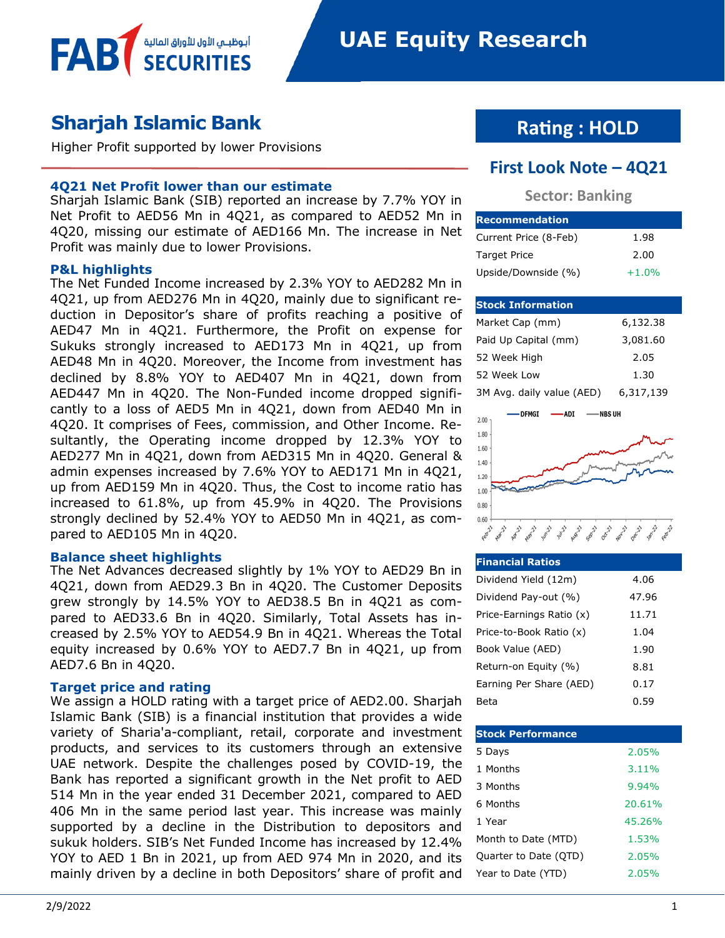

Higher Profit supported by lower Provisions

أبوظبـي الأول للأوراق المالية<br>SECURITIES

#### **4Q21 Net Profit lower than our estimate**

Sharjah Islamic Bank (SIB) reported an increase by 7.7% YOY in Net Profit to AED56 Mn in 4Q21, as compared to AED52 Mn in 4Q20, missing our estimate of AED166 Mn. The increase in Net Profit was mainly due to lower Provisions.

#### **P&L highlights**

**FAB** 

The Net Funded Income increased by 2.3% YOY to AED282 Mn in 4Q21, up from AED276 Mn in 4Q20, mainly due to significant reduction in Depositor's share of profits reaching a positive of AED47 Mn in 4Q21. Furthermore, the Profit on expense for Sukuks strongly increased to AED173 Mn in 4Q21, up from AED48 Mn in 4Q20. Moreover, the Income from investment has declined by 8.8% YOY to AED407 Mn in 4Q21, down from AED447 Mn in 4Q20. The Non-Funded income dropped significantly to a loss of AED5 Mn in 4Q21, down from AED40 Mn in 4Q20. It comprises of Fees, commission, and Other Income. Resultantly, the Operating income dropped by 12.3% YOY to AED277 Mn in 4Q21, down from AED315 Mn in 4Q20. General & admin expenses increased by 7.6% YOY to AED171 Mn in 4Q21, up from AED159 Mn in 4Q20. Thus, the Cost to income ratio has increased to 61.8%, up from 45.9% in 4Q20. The Provisions strongly declined by 52.4% YOY to AED50 Mn in 4Q21, as compared to AED105 Mn in 4Q20.

#### **Balance sheet highlights**

The Net Advances decreased slightly by 1% YOY to AED29 Bn in 4Q21, down from AED29.3 Bn in 4Q20. The Customer Deposits grew strongly by 14.5% YOY to AED38.5 Bn in 4Q21 as compared to AED33.6 Bn in 4Q20. Similarly, Total Assets has increased by 2.5% YOY to AED54.9 Bn in 4Q21. Whereas the Total equity increased by 0.6% YOY to AED7.7 Bn in 4Q21, up from AED7.6 Bn in 4Q20.

#### **Target price and rating**

We assign a HOLD rating with a target price of AED2.00. Sharjah Islamic Bank (SIB) is a financial institution that provides a wide variety of Sharia'a-compliant, retail, corporate and investment products, and services to its customers through an extensive UAE network. Despite the challenges posed by COVID-19, the Bank has reported a significant growth in the Net profit to AED 514 Mn in the year ended 31 December 2021, compared to AED 406 Mn in the same period last year. This increase was mainly supported by a decline in the Distribution to depositors and sukuk holders. SIB's Net Funded Income has increased by 12.4% YOY to AED 1 Bn in 2021, up from AED 974 Mn in 2020, and its mainly driven by a decline in both Depositors' share of profit and

### **Rating : HOLD**

#### **First Look Note – 4Q21**

#### **Sector: Banking**

| <b>Recommendation</b> |         |
|-----------------------|---------|
| Current Price (8-Feb) | 1.98    |
| <b>Target Price</b>   | 2.00    |
| Upside/Downside (%)   | $+1.0%$ |

#### **Stock Information**

| Market Cap (mm)           | 6,132.38  |
|---------------------------|-----------|
| Paid Up Capital (mm)      | 3,081.60  |
| 52 Week High              | 2.05      |
| 52 Week Low               | 1.30      |
| 3M Avg. daily value (AED) | 6,317,139 |



#### **Financial Ratios** Dividend Yield (12m) 4.06 Dividend Pay-out (%) 47.96 Price-Earnings Ratio (x) 11.71 Price-to-Book Ratio (x) 1.04 Book Value (AED) 1.90 Return-on Equity (%) 8.81 Earning Per Share (AED) 0.17 Beta 0.59

| <b>Stock Performance</b> |          |
|--------------------------|----------|
| 5 Days                   | 2.05%    |
| 1 Months                 | $3.11\%$ |
| 3 Months                 | 9.94%    |
| 6 Months                 | 20.61%   |
| 1 Year                   | 45.26%   |
| Month to Date (MTD)      | 1.53%    |
| Quarter to Date (QTD)    | 2.05%    |
| Year to Date (YTD)       | 2.05%    |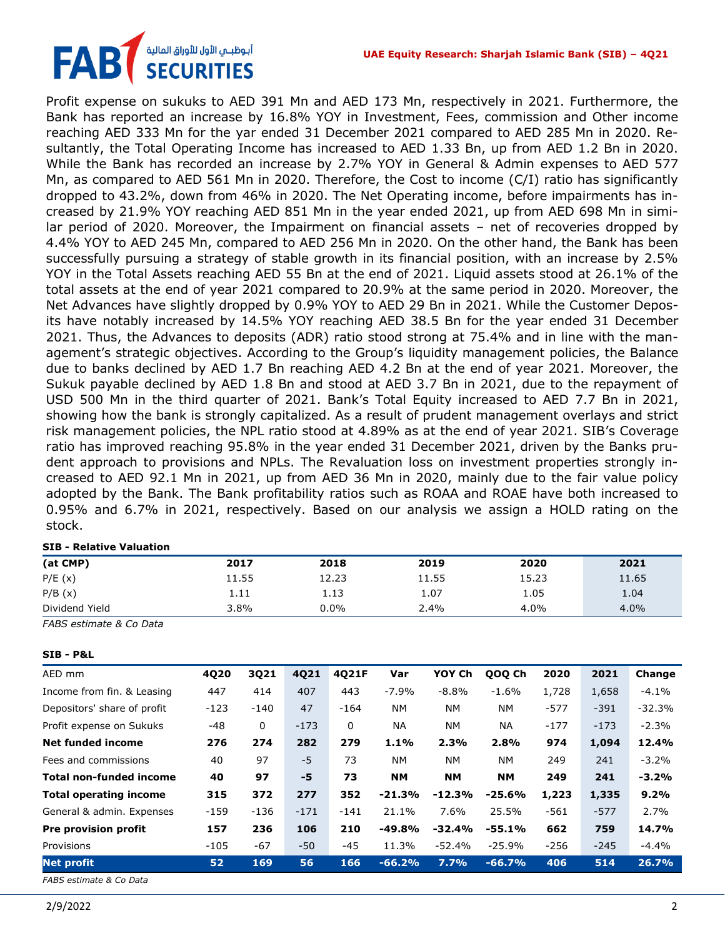## أبوظبـي الأول للأوراق المالية<br>SECURITIES FA

Profit expense on sukuks to AED 391 Mn and AED 173 Mn, respectively in 2021. Furthermore, the Bank has reported an increase by 16.8% YOY in Investment, Fees, commission and Other income reaching AED 333 Mn for the yar ended 31 December 2021 compared to AED 285 Mn in 2020. Resultantly, the Total Operating Income has increased to AED 1.33 Bn, up from AED 1.2 Bn in 2020. While the Bank has recorded an increase by 2.7% YOY in General & Admin expenses to AED 577 Mn, as compared to AED 561 Mn in 2020. Therefore, the Cost to income (C/I) ratio has significantly dropped to 43.2%, down from 46% in 2020. The Net Operating income, before impairments has increased by 21.9% YOY reaching AED 851 Mn in the year ended 2021, up from AED 698 Mn in similar period of 2020. Moreover, the Impairment on financial assets – net of recoveries dropped by 4.4% YOY to AED 245 Mn, compared to AED 256 Mn in 2020. On the other hand, the Bank has been successfully pursuing a strategy of stable growth in its financial position, with an increase by 2.5% YOY in the Total Assets reaching AED 55 Bn at the end of 2021. Liquid assets stood at 26.1% of the total assets at the end of year 2021 compared to 20.9% at the same period in 2020. Moreover, the Net Advances have slightly dropped by 0.9% YOY to AED 29 Bn in 2021. While the Customer Deposits have notably increased by 14.5% YOY reaching AED 38.5 Bn for the year ended 31 December 2021. Thus, the Advances to deposits (ADR) ratio stood strong at 75.4% and in line with the management's strategic objectives. According to the Group's liquidity management policies, the Balance due to banks declined by AED 1.7 Bn reaching AED 4.2 Bn at the end of year 2021. Moreover, the Sukuk payable declined by AED 1.8 Bn and stood at AED 3.7 Bn in 2021, due to the repayment of USD 500 Mn in the third quarter of 2021. Bank's Total Equity increased to AED 7.7 Bn in 2021, showing how the bank is strongly capitalized. As a result of prudent management overlays and strict risk management policies, the NPL ratio stood at 4.89% as at the end of year 2021. SIB's Coverage ratio has improved reaching 95.8% in the year ended 31 December 2021, driven by the Banks prudent approach to provisions and NPLs. The Revaluation loss on investment properties strongly increased to AED 92.1 Mn in 2021, up from AED 36 Mn in 2020, mainly due to the fair value policy adopted by the Bank. The Bank profitability ratios such as ROAA and ROAE have both increased to 0.95% and 6.7% in 2021, respectively. Based on our analysis we assign a HOLD rating on the stock.

#### **SIB - Relative Valuation**

| (at CMP)       | 2017  | 2018    | 2019  | 2020  | 2021  |
|----------------|-------|---------|-------|-------|-------|
| P/E(x)         | 11.55 | 12.23   | 11.55 | 15.23 | 11.65 |
| P/B(x)         | 1.11  | 1.13    | 1.07  | 1.05  | 1.04  |
| Dividend Yield | 3.8%  | $0.0\%$ | 2.4%  | 4.0%  | 4.0%  |

*FABS estimate & Co Data*

**SIB - P&L**

| AED mm                         | 4Q20   | 3Q21   | 4Q21   | 4Q21F  | Var       | YOY Ch    | QOQ Ch    | 2020   | 2021   | Change   |
|--------------------------------|--------|--------|--------|--------|-----------|-----------|-----------|--------|--------|----------|
| Income from fin. & Leasing     | 447    | 414    | 407    | 443    | $-7.9%$   | $-8.8%$   | $-1.6\%$  | 1,728  | 1,658  | $-4.1%$  |
| Depositors' share of profit    | $-123$ | $-140$ | 47     | $-164$ | <b>NM</b> | <b>NM</b> | <b>NM</b> | $-577$ | $-391$ | $-32.3%$ |
| Profit expense on Sukuks       | $-48$  | 0      | $-173$ | 0      | <b>NA</b> | <b>NM</b> | <b>NA</b> | $-177$ | $-173$ | $-2.3%$  |
| Net funded income              | 276    | 274    | 282    | 279    | 1.1%      | 2.3%      | 2.8%      | 974    | 1,094  | 12.4%    |
| Fees and commissions           | 40     | 97     | $-5$   | 73     | <b>NM</b> | <b>NM</b> | <b>NM</b> | 249    | 241    | $-3.2%$  |
| Total non-funded income        | 40     | 97     | -5     | 73     | <b>NM</b> | <b>NM</b> | <b>NM</b> | 249    | 241    | $-3.2%$  |
| <b>Total operating income</b>  | 315    | 372    | 277    | 352    | $-21.3%$  | $-12.3%$  | $-25.6%$  | 1,223  | 1,335  | 9.2%     |
| General & admin. Expenses      | $-159$ | $-136$ | $-171$ | $-141$ | 21.1%     | 7.6%      | 25.5%     | $-561$ | $-577$ | 2.7%     |
| <b>Pre provision profit</b>    | 157    | 236    | 106    | 210    | $-49.8%$  | $-32.4%$  | $-55.1%$  | 662    | 759    | 14.7%    |
| Provisions                     | $-105$ | $-67$  | $-50$  | $-45$  | 11.3%     | $-52.4%$  | $-25.9%$  | $-256$ | $-245$ | $-4.4%$  |
| <b>Net profit</b>              | 52     | 169    | 56     | 166    | $-66.2%$  | 7.7%      | $-66.7%$  | 406    | 514    | 26.7%    |
| <b>FARS</b> estimate & Co Data |        |        |        |        |           |           |           |        |        |          |

*FABS estimate & Co Data*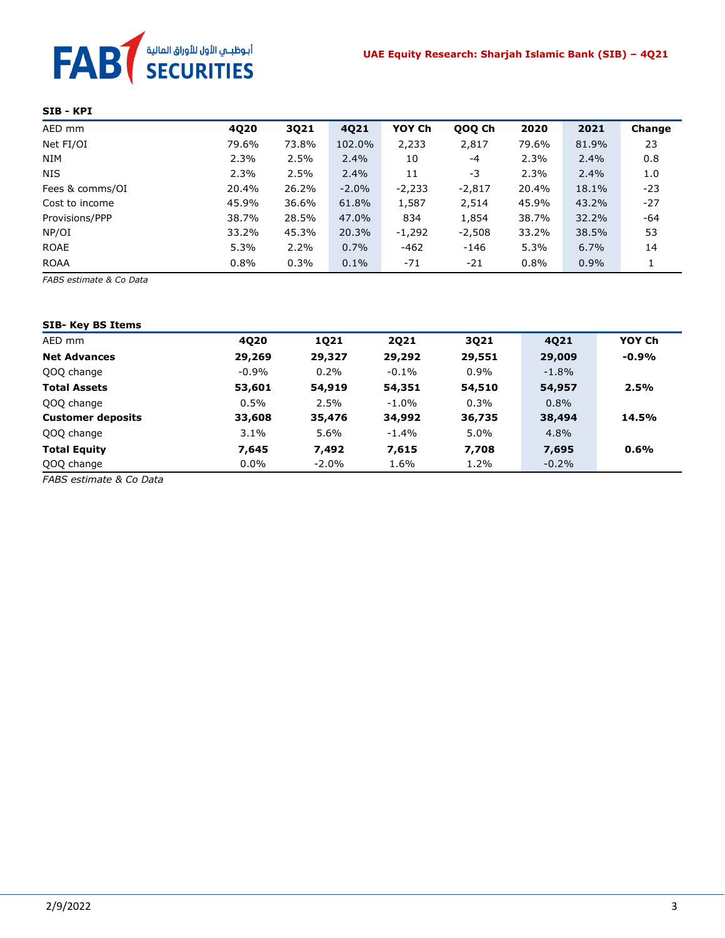# **FAB** *SECURITIES*

#### **SIB - KPI**

| AED mm          | 4Q20  | 3Q21  | 4Q21    | YOY Ch   | QOQ Ch   | 2020  | 2021  | Change |
|-----------------|-------|-------|---------|----------|----------|-------|-------|--------|
| Net FI/OI       | 79.6% | 73.8% | 102.0%  | 2,233    | 2,817    | 79.6% | 81.9% | 23     |
| <b>NIM</b>      | 2.3%  | 2.5%  | $2.4\%$ | 10       | $-4$     | 2.3%  | 2.4%  | 0.8    |
| <b>NIS</b>      | 2.3%  | 2.5%  | $2.4\%$ | 11       | -3       | 2.3%  | 2.4%  | 1.0    |
| Fees & comms/OI | 20.4% | 26.2% | $-2.0%$ | $-2,233$ | $-2,817$ | 20.4% | 18.1% | $-23$  |
| Cost to income  | 45.9% | 36.6% | 61.8%   | 1,587    | 2,514    | 45.9% | 43.2% | $-27$  |
| Provisions/PPP  | 38.7% | 28.5% | 47.0%   | 834      | 1,854    | 38.7% | 32.2% | -64    |
| NP/OI           | 33.2% | 45.3% | 20.3%   | $-1,292$ | $-2,508$ | 33.2% | 38.5% | 53     |
| ROAE            | 5.3%  | 2.2%  | 0.7%    | $-462$   | $-146$   | 5.3%  | 6.7%  | 14     |
| <b>ROAA</b>     | 0.8%  | 0.3%  | 0.1%    | $-71$    | $-21$    | 0.8%  | 0.9%  | 1      |

*FABS estimate & Co Data*

| <b>SIB- Key BS Items</b> |          |             |             |         |          |         |
|--------------------------|----------|-------------|-------------|---------|----------|---------|
| AED mm                   | 4020     | <b>1Q21</b> | <b>2Q21</b> | 3Q21    | 4021     | YOY Ch  |
| <b>Net Advances</b>      | 29,269   | 29,327      | 29,292      | 29,551  | 29,009   | $-0.9%$ |
| QOQ change               | $-0.9\%$ | 0.2%        | $-0.1\%$    | $0.9\%$ | $-1.8\%$ |         |
| <b>Total Assets</b>      | 53,601   | 54,919      | 54,351      | 54,510  | 54,957   | 2.5%    |
| QOQ change               | 0.5%     | 2.5%        | $-1.0\%$    | 0.3%    | 0.8%     |         |
| <b>Customer deposits</b> | 33,608   | 35,476      | 34,992      | 36,735  | 38,494   | 14.5%   |
| QOQ change               | 3.1%     | 5.6%        | $-1.4%$     | 5.0%    | 4.8%     |         |
| <b>Total Equity</b>      | 7,645    | 7,492       | 7,615       | 7,708   | 7,695    | 0.6%    |
| QOQ change               | $0.0\%$  | $-2.0\%$    | 1.6%        | 1.2%    | $-0.2%$  |         |

*FABS estimate & Co Data*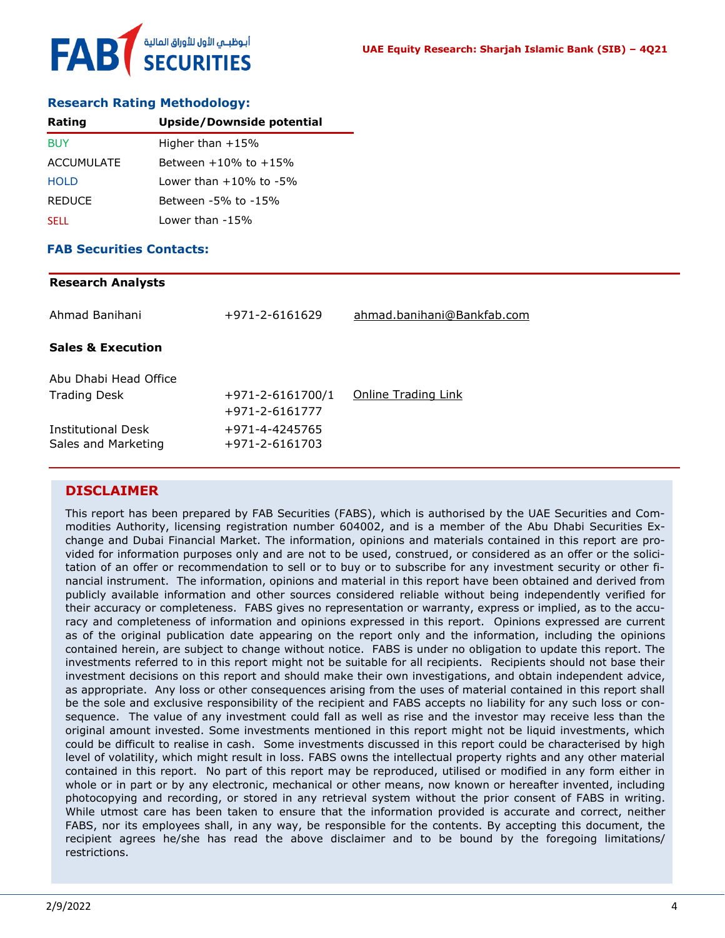# أبوظبـي الأول للأوراق المالية<br>SECURITIES FAB

#### **Research Rating Methodology:**

| Rating            | Upside/Downside potential       |
|-------------------|---------------------------------|
| <b>BUY</b>        | Higher than $+15%$              |
| <b>ACCUMULATE</b> | Between +10% to +15%            |
| <b>HOLD</b>       | $1$ ower than $+10\%$ to $-5\%$ |
| <b>REDUCE</b>     | Between -5% to -15%             |
| <b>SELL</b>       | Lower than -15%                 |

#### **FAB Securities Contacts:**

## **Research Analysts** Ahmad Banihani +971-2-6161629 [ahmad.banihani@Bankfab.com](mailto:ahmad.banihani@Bankfab.com) **Sales & Execution** Abu Dhabi Head Office Trading Desk  $+971-2-6161700/1$  [Online Trading Link](http://www.nbad.com/countries/en-ae/Brokerage/WhatWeOffer/Pages/OnlineTrading.aspx) +971-2-6161777 Institutional Desk +971-4-4245765 Sales and Marketing +971-2-6161703

#### **DISCLAIMER**

This report has been prepared by FAB Securities (FABS), which is authorised by the UAE Securities and Commodities Authority, licensing registration number 604002, and is a member of the Abu Dhabi Securities Exchange and Dubai Financial Market. The information, opinions and materials contained in this report are provided for information purposes only and are not to be used, construed, or considered as an offer or the solicitation of an offer or recommendation to sell or to buy or to subscribe for any investment security or other financial instrument. The information, opinions and material in this report have been obtained and derived from publicly available information and other sources considered reliable without being independently verified for their accuracy or completeness. FABS gives no representation or warranty, express or implied, as to the accuracy and completeness of information and opinions expressed in this report. Opinions expressed are current as of the original publication date appearing on the report only and the information, including the opinions contained herein, are subject to change without notice. FABS is under no obligation to update this report. The investments referred to in this report might not be suitable for all recipients. Recipients should not base their investment decisions on this report and should make their own investigations, and obtain independent advice, as appropriate. Any loss or other consequences arising from the uses of material contained in this report shall be the sole and exclusive responsibility of the recipient and FABS accepts no liability for any such loss or consequence. The value of any investment could fall as well as rise and the investor may receive less than the original amount invested. Some investments mentioned in this report might not be liquid investments, which could be difficult to realise in cash. Some investments discussed in this report could be characterised by high level of volatility, which might result in loss. FABS owns the intellectual property rights and any other material contained in this report. No part of this report may be reproduced, utilised or modified in any form either in whole or in part or by any electronic, mechanical or other means, now known or hereafter invented, including photocopying and recording, or stored in any retrieval system without the prior consent of FABS in writing. While utmost care has been taken to ensure that the information provided is accurate and correct, neither FABS, nor its employees shall, in any way, be responsible for the contents. By accepting this document, the recipient agrees he/she has read the above disclaimer and to be bound by the foregoing limitations/ restrictions.